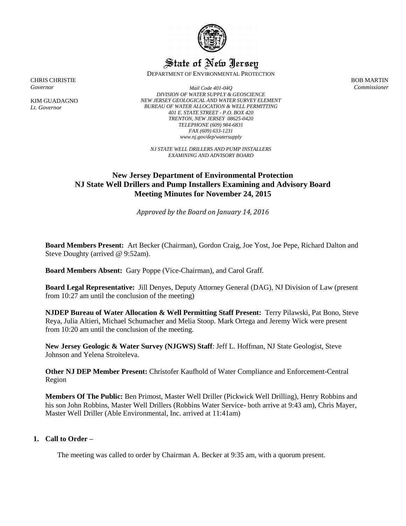

# State of New Jersey

DEPARTMENT OF ENVIRONMENTAL PROTECTION

BOB MARTIN *Commissioner*

CHRIS CHRISTIE *Governor*

KIM GUADAGNO *Lt. Governor*

*Mail Code 401-04Q DIVISION OF WATER SUPPLY & GEOSCIENCE NEW JERSEY GEOLOGICAL AND WATER SURVEY ELEMENT BUREAU OF WATER ALLOCATION & WELL PERMITTING 401 E. STATE STREET - P.O. BOX 420 TRENTON, NEW JERSEY 08625-0420 TELEPHONE (609) 984-6831 FAX (609) 633-1231 www.nj.gov/dep/watersupply*

*NJ STATE WELL DRILLERS AND PUMP INSTALLERS EXAMINING AND ADVISORY BOARD*

## **New Jersey Department of Environmental Protection NJ State Well Drillers and Pump Installers Examining and Advisory Board Meeting Minutes for November 24, 2015**

*Approved by the Board on January 14, 2016*

**Board Members Present:** Art Becker (Chairman), Gordon Craig, Joe Yost, Joe Pepe, Richard Dalton and Steve Doughty (arrived @ 9:52am).

**Board Members Absent:** Gary Poppe (Vice-Chairman), and Carol Graff.

**Board Legal Representative:** Jill Denyes, Deputy Attorney General (DAG), NJ Division of Law (present from 10:27 am until the conclusion of the meeting)

**NJDEP Bureau of Water Allocation & Well Permitting Staff Present:** Terry Pilawski, Pat Bono, Steve Reya, Julia Altieri, Michael Schumacher and Melia Stoop. Mark Ortega and Jeremy Wick were present from 10:20 am until the conclusion of the meeting.

**New Jersey Geologic & Water Survey (NJGWS) Staff**: Jeff L. Hoffman, NJ State Geologist, Steve Johnson and Yelena Stroiteleva.

**Other NJ DEP Member Present:** Christofer Kaufhold of Water Compliance and Enforcement-Central Region

**Members Of The Public:** Ben Primost, Master Well Driller (Pickwick Well Drilling), Henry Robbins and his son John Robbins, Master Well Drillers (Robbins Water Service- both arrive at 9:43 am), Chris Mayer, Master Well Driller (Able Environmental, Inc. arrived at 11:41am)

#### **1. Call to Order –**

The meeting was called to order by Chairman A. Becker at 9:35 am, with a quorum present.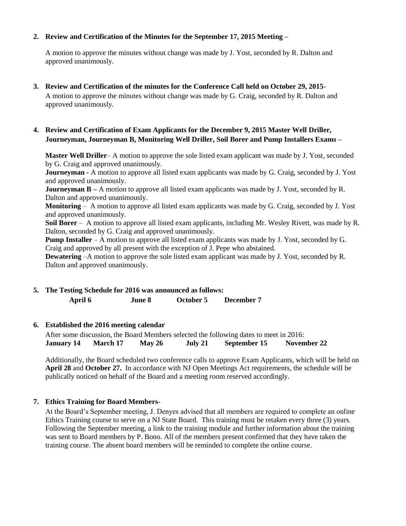## **2. Review and Certification of the Minutes for the September 17, 2015 Meeting –**

A motion to approve the minutes without change was made by J. Yost, seconded by R. Dalton and approved unanimously.

**3. Review and Certification of the minutes for the Conference Call held on October 29, 2015**-

A motion to approve the minutes without change was made by G. Craig, seconded by R. Dalton and approved unanimously.

## **4. Review and Certification of Exam Applicants for the December 9, 2015 Master Well Driller, Journeyman, Journeyman B, Monitoring Well Driller, Soil Borer and Pump Installers Exams –**

**Master Well Driller**– A motion to approve the sole listed exam applicant was made by J. Yost, seconded by G. Craig and approved unanimously.

**Journeyman -** A motion to approve all listed exam applicants was made by G. Craig, seconded by J. Yost and approved unanimously.

**Journeyman B** – A motion to approve all listed exam applicants was made by J. Yost, seconded by R. Dalton and approved unanimously.

**Monitoring** – A motion to approve all listed exam applicants was made by G. Craig, seconded by J. Yost and approved unanimously.

**Soil Borer** – A motion to approve all listed exam applicants, including Mr. Wesley Rivett, was made by R. Dalton, seconded by G. Craig and approved unanimously.

**Pump Installer** – A motion to approve all listed exam applicants was made by J. Yost, seconded by G. Craig and approved by all present with the exception of J. Pepe who abstained.

**Dewatering** –A motion to approve the sole listed exam applicant was made by J. Yost, seconded by R. Dalton and approved unanimously.

**5. The Testing Schedule for 2016 was announced as follows: April 6 June 8 October 5 December 7** 

## **6. Established the 2016 meeting calendar**

After some discussion, the Board Members selected the following dates to meet in 2016: **January 14 March 17 May 26 July 21 September 15 November 22** 

Additionally, the Board scheduled two conference calls to approve Exam Applicants, which will be held on **April 28** and **October 27.** In accordance with NJ Open Meetings Act requirements, the schedule will be publically noticed on behalf of the Board and a meeting room reserved accordingly.

## **7. Ethics Training for Board Members**-

At the Board's September meeting, J. Denyes advised that all members are required to complete an online Ethics Training course to serve on a NJ State Board. This training must be retaken every three (3) years. Following the September meeting, a link to the training module and further information about the training was sent to Board members by P. Bono. All of the members present confirmed that they have taken the training course. The absent board members will be reminded to complete the online course.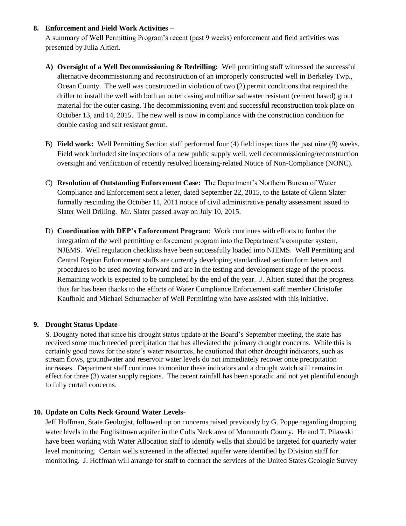### **8. Enforcement and Field Work Activities –**

A summary of Well Permitting Program's recent (past 9 weeks) enforcement and field activities was presented by Julia Altieri.

- **A) Oversight of a Well Decommissioning & Redrilling:** Well permitting staff witnessed the successful alternative decommissioning and reconstruction of an improperly constructed well in Berkeley Twp., Ocean County. The well was constructed in violation of two (2) permit conditions that required the driller to install the well with both an outer casing and utilize saltwater resistant (cement based) grout material for the outer casing. The decommissioning event and successful reconstruction took place on October 13, and 14, 2015. The new well is now in compliance with the construction condition for double casing and salt resistant grout.
- B) **Field work:** Well Permitting Section staff performed four (4) field inspections the past nine (9) weeks. Field work included site inspections of a new public supply well, well decommissioning/reconstruction oversight and verification of recently resolved licensing-related Notice of Non-Compliance (NONC).
- C) **Resolution of Outstanding Enforcement Case:** The Department's Northern Bureau of Water Compliance and Enforcement sent a letter, dated September 22, 2015, to the Estate of Glenn Slater formally rescinding the October 11, 2011 notice of civil administrative penalty assessment issued to Slater Well Drilling. Mr. Slater passed away on July 10, 2015.
- D) **Coordination with DEP's Enforcement Program**: Work continues with efforts to further the integration of the well permitting enforcement program into the Department's computer system, NJEMS. Well regulation checklists have been successfully loaded into NJEMS. Well Permitting and Central Region Enforcement staffs are currently developing standardized section form letters and procedures to be used moving forward and are in the testing and development stage of the process. Remaining work is expected to be completed by the end of the year. J. Altieri stated that the progress thus far has been thanks to the efforts of Water Compliance Enforcement staff member Christofer Kaufhold and Michael Schumacher of Well Permitting who have assisted with this initiative.

## **9. Drought Status Update**-

S. Doughty noted that since his drought status update at the Board's September meeting, the state has received some much needed precipitation that has alleviated the primary drought concerns. While this is certainly good news for the state's water resources, he cautioned that other drought indicators, such as stream flows, groundwater and reservoir water levels do not immediately recover once precipitation increases. Department staff continues to monitor these indicators and a drought watch still remains in effect for three (3) water supply regions. The recent rainfall has been sporadic and not yet plentiful enough to fully curtail concerns.

## **10. Update on Colts Neck Ground Water Levels**-

Jeff Hoffman, State Geologist, followed up on concerns raised previously by G. Poppe regarding dropping water levels in the Englishtown aquifer in the Colts Neck area of Monmouth County. He and T. Pilawski have been working with Water Allocation staff to identify wells that should be targeted for quarterly water level monitoring. Certain wells screened in the affected aquifer were identified by Division staff for monitoring. J. Hoffman will arrange for staff to contract the services of the United States Geologic Survey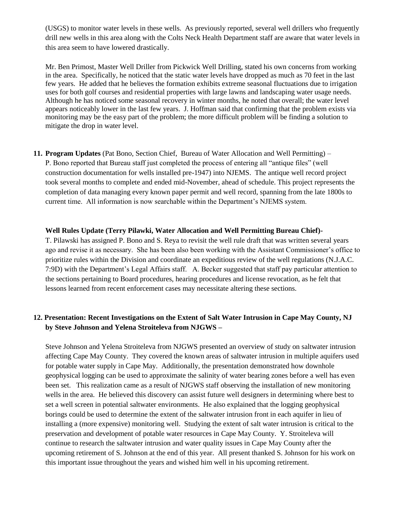(USGS) to monitor water levels in these wells. As previously reported, several well drillers who frequently drill new wells in this area along with the Colts Neck Health Department staff are aware that water levels in this area seem to have lowered drastically.

Mr. Ben Primost, Master Well Driller from Pickwick Well Drilling, stated his own concerns from working in the area. Specifically, he noticed that the static water levels have dropped as much as 70 feet in the last few years. He added that he believes the formation exhibits extreme seasonal fluctuations due to irrigation uses for both golf courses and residential properties with large lawns and landscaping water usage needs. Although he has noticed some seasonal recovery in winter months, he noted that overall; the water level appears noticeably lower in the last few years. J. Hoffman said that confirming that the problem exists via monitoring may be the easy part of the problem; the more difficult problem will be finding a solution to mitigate the drop in water level.

**11. Program Updates** (Pat Bono, Section Chief, Bureau of Water Allocation and Well Permitting) – P. Bono reported that Bureau staff just completed the process of entering all "antique files" (well construction documentation for wells installed pre-1947) into NJEMS. The antique well record project took several months to complete and ended mid-November, ahead of schedule. This project represents the completion of data managing every known paper permit and well record, spanning from the late 1800s to current time. All information is now searchable within the Department's NJEMS system.

#### **Well Rules Update (Terry Pilawki, Water Allocation and Well Permitting Bureau Chief)-**

T. Pilawski has assigned P. Bono and S. Reya to revisit the well rule draft that was written several years ago and revise it as necessary. She has been also been working with the Assistant Commissioner's office to prioritize rules within the Division and coordinate an expeditious review of the well regulations (N.J.A.C. 7:9D) with the Department's Legal Affairs staff. A. Becker suggested that staff pay particular attention to the sections pertaining to Board procedures, hearing procedures and license revocation, as he felt that lessons learned from recent enforcement cases may necessitate altering these sections.

## **12. Presentation: Recent Investigations on the Extent of Salt Water Intrusion in Cape May County, NJ by Steve Johnson and Yelena Stroiteleva from NJGWS –**

Steve Johnson and Yelena Stroiteleva from NJGWS presented an overview of study on saltwater intrusion affecting Cape May County. They covered the known areas of saltwater intrusion in multiple aquifers used for potable water supply in Cape May. Additionally, the presentation demonstrated how downhole geophysical logging can be used to approximate the salinity of water bearing zones before a well has even been set. This realization came as a result of NJGWS staff observing the installation of new monitoring wells in the area. He believed this discovery can assist future well designers in determining where best to set a well screen in potential saltwater environments. He also explained that the logging geophysical borings could be used to determine the extent of the saltwater intrusion front in each aquifer in lieu of installing a (more expensive) monitoring well. Studying the extent of salt water intrusion is critical to the preservation and development of potable water resources in Cape May County. Y. Stroiteleva will continue to research the saltwater intrusion and water quality issues in Cape May County after the upcoming retirement of S. Johnson at the end of this year. All present thanked S. Johnson for his work on this important issue throughout the years and wished him well in his upcoming retirement.